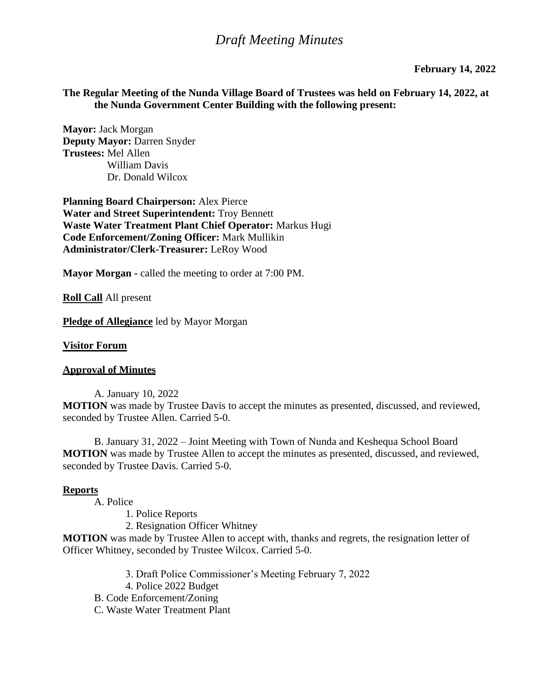# *Draft Meeting Minutes*

#### **February 14, 2022**

### **The Regular Meeting of the Nunda Village Board of Trustees was held on February 14, 2022, at the Nunda Government Center Building with the following present:**

**Mayor:** Jack Morgan **Deputy Mayor:** Darren Snyder **Trustees:** Mel Allen William Davis Dr. Donald Wilcox

**Planning Board Chairperson:** Alex Pierce **Water and Street Superintendent:** Troy Bennett **Waste Water Treatment Plant Chief Operator:** Markus Hugi **Code Enforcement/Zoning Officer:** Mark Mullikin **Administrator/Clerk-Treasurer:** LeRoy Wood

**Mayor Morgan -** called the meeting to order at 7:00 PM.

**Roll Call** All present

**Pledge of Allegiance** led by Mayor Morgan

#### **Visitor Forum**

#### **Approval of Minutes**

A. January 10, 2022 **MOTION** was made by Trustee Davis to accept the minutes as presented, discussed, and reviewed, seconded by Trustee Allen. Carried 5-0.

B. January 31, 2022 – Joint Meeting with Town of Nunda and Keshequa School Board **MOTION** was made by Trustee Allen to accept the minutes as presented, discussed, and reviewed, seconded by Trustee Davis. Carried 5-0.

#### **Reports**

A. Police

- 1. Police Reports
- 2. Resignation Officer Whitney

**MOTION** was made by Trustee Allen to accept with, thanks and regrets, the resignation letter of Officer Whitney, seconded by Trustee Wilcox. Carried 5-0.

- 3. Draft Police Commissioner's Meeting February 7, 2022
- 4. Police 2022 Budget
- B. Code Enforcement/Zoning
- C. Waste Water Treatment Plant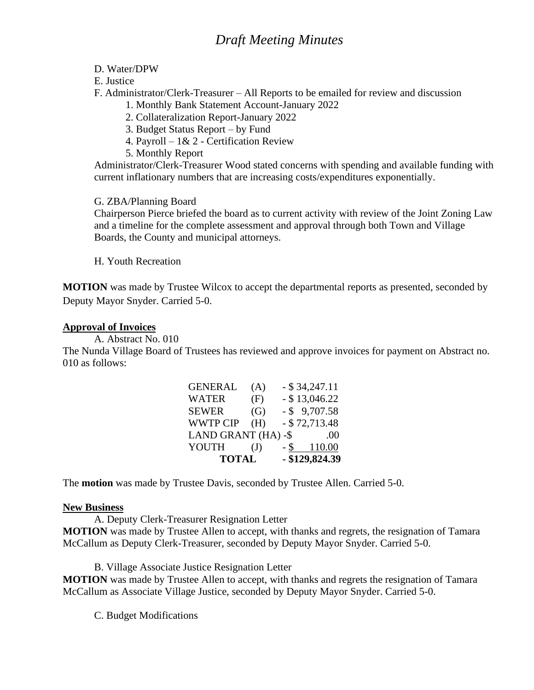- D. Water/DPW
- E. Justice
- F. Administrator/Clerk-Treasurer All Reports to be emailed for review and discussion
	- 1. Monthly Bank Statement Account-January 2022
	- 2. Collateralization Report-January 2022
	- 3. Budget Status Report by Fund
	- 4. Payroll 1& 2 Certification Review
	- 5. Monthly Report

Administrator/Clerk-Treasurer Wood stated concerns with spending and available funding with current inflationary numbers that are increasing costs/expenditures exponentially.

# G. ZBA/Planning Board

Chairperson Pierce briefed the board as to current activity with review of the Joint Zoning Law and a timeline for the complete assessment and approval through both Town and Village Boards, the County and municipal attorneys.

H. Youth Recreation

**MOTION** was made by Trustee Wilcox to accept the departmental reports as presented, seconded by Deputy Mayor Snyder. Carried 5-0.

## **Approval of Invoices**

A. Abstract No. 010

The Nunda Village Board of Trustees has reviewed and approve invoices for payment on Abstract no. 010 as follows:

| <b>TOTAL</b> |      |                                       |
|--------------|------|---------------------------------------|
| (J)          | - \$ | 110.00                                |
|              |      | .00                                   |
| (H)          |      | $-$ \$72,713.48                       |
| (G)          |      | $-$ \$ 9,707.58                       |
| (F)          |      | $-$ \$ 13,046.22                      |
| (A)          |      | $-$ \$ 34,247.11                      |
|              |      | LAND GRANT (HA) -\$<br>- \$129,824.39 |

The **motion** was made by Trustee Davis, seconded by Trustee Allen. Carried 5-0.

## **New Business**

A. Deputy Clerk-Treasurer Resignation Letter

**MOTION** was made by Trustee Allen to accept, with thanks and regrets, the resignation of Tamara McCallum as Deputy Clerk-Treasurer, seconded by Deputy Mayor Snyder. Carried 5-0.

B. Village Associate Justice Resignation Letter

**MOTION** was made by Trustee Allen to accept, with thanks and regrets the resignation of Tamara McCallum as Associate Village Justice, seconded by Deputy Mayor Snyder. Carried 5-0.

C. Budget Modifications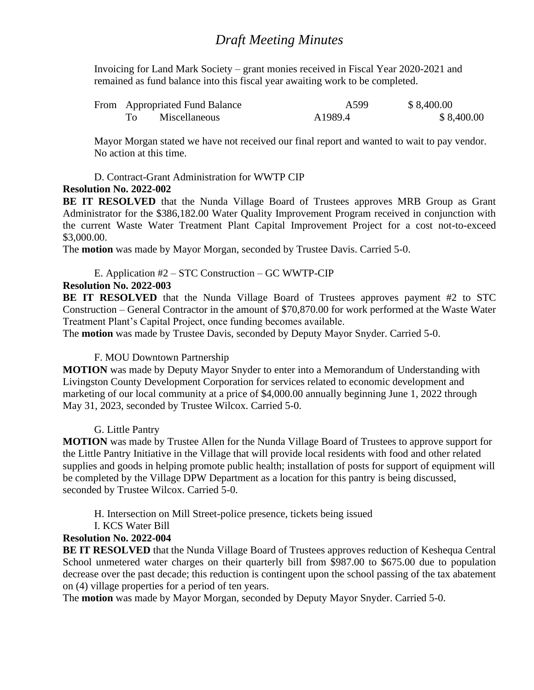Invoicing for Land Mark Society – grant monies received in Fiscal Year 2020-2021 and remained as fund balance into this fiscal year awaiting work to be completed.

| From Appropriated Fund Balance |               | A599    | \$8,400.00 |
|--------------------------------|---------------|---------|------------|
|                                | Miscellaneous | A1989.4 | \$8,400.00 |

Mayor Morgan stated we have not received our final report and wanted to wait to pay vendor. No action at this time.

D. Contract-Grant Administration for WWTP CIP

## **Resolution No. 2022-002**

**BE IT RESOLVED** that the Nunda Village Board of Trustees approves MRB Group as Grant Administrator for the \$386,182.00 Water Quality Improvement Program received in conjunction with the current Waste Water Treatment Plant Capital Improvement Project for a cost not-to-exceed \$3,000.00.

The **motion** was made by Mayor Morgan, seconded by Trustee Davis. Carried 5-0.

# E. Application #2 – STC Construction – GC WWTP-CIP

# **Resolution No. 2022-003**

**BE IT RESOLVED** that the Nunda Village Board of Trustees approves payment #2 to STC Construction – General Contractor in the amount of \$70,870.00 for work performed at the Waste Water Treatment Plant's Capital Project, once funding becomes available.

The **motion** was made by Trustee Davis, seconded by Deputy Mayor Snyder. Carried 5-0.

## F. MOU Downtown Partnership

**MOTION** was made by Deputy Mayor Snyder to enter into a Memorandum of Understanding with Livingston County Development Corporation for services related to economic development and marketing of our local community at a price of \$4,000.00 annually beginning June 1, 2022 through May 31, 2023, seconded by Trustee Wilcox. Carried 5-0.

## G. Little Pantry

**MOTION** was made by Trustee Allen for the Nunda Village Board of Trustees to approve support for the Little Pantry Initiative in the Village that will provide local residents with food and other related supplies and goods in helping promote public health; installation of posts for support of equipment will be completed by the Village DPW Department as a location for this pantry is being discussed, seconded by Trustee Wilcox. Carried 5-0.

H. Intersection on Mill Street-police presence, tickets being issued

I. KCS Water Bill

# **Resolution No. 2022-004**

**BE IT RESOLVED** that the Nunda Village Board of Trustees approves reduction of Keshequa Central School unmetered water charges on their quarterly bill from \$987.00 to \$675.00 due to population decrease over the past decade; this reduction is contingent upon the school passing of the tax abatement on (4) village properties for a period of ten years.

The **motion** was made by Mayor Morgan, seconded by Deputy Mayor Snyder. Carried 5-0.